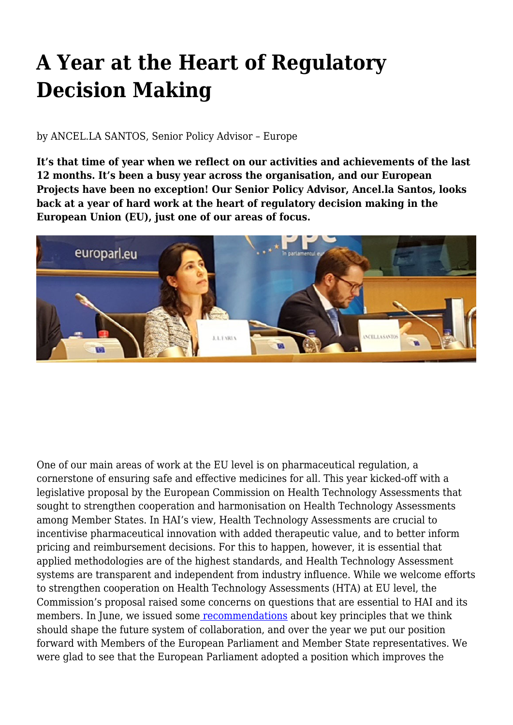## **A Year at the Heart of Regulatory Decision Making**

## by ANCEL.LA SANTOS, Senior Policy Advisor – Europe

**It's that time of year when we reflect on our activities and achievements of the last 12 months. It's been a busy year across the organisation, and our European Projects have been no exception! Our Senior Policy Advisor, Ancel.la Santos, looks back at a year of hard work at the heart of regulatory decision making in the European Union (EU), just one of our areas of focus.**



One of our main areas of work at the EU level is on pharmaceutical regulation, a cornerstone of ensuring safe and effective medicines for all. This year kicked-off with a legislative proposal by the European Commission on Health Technology Assessments that sought to strengthen cooperation and harmonisation on Health Technology Assessments among Member States. In HAI's view, Health Technology Assessments are crucial to incentivise pharmaceutical innovation with added therapeutic value, and to better inform pricing and reimbursement decisions. For this to happen, however, it is essential that applied methodologies are of the highest standards, and Health Technology Assessment systems are transparent and independent from industry influence. While we welcome efforts to strengthen cooperation on Health Technology Assessments (HTA) at EU level, the Commission's proposal raised some concerns on questions that are essential to HAI and its members. In June, we issued som[e recommendations](http://haiweb.org/wp-content/uploads/2018/06/Health-Technology-Assessments-EU-Key-Recommendations-1.pdf) about key principles that we think should shape the future system of collaboration, and over the year we put our position forward with Members of the European Parliament and Member State representatives. We were glad to see that the European Parliament adopted a position which improves the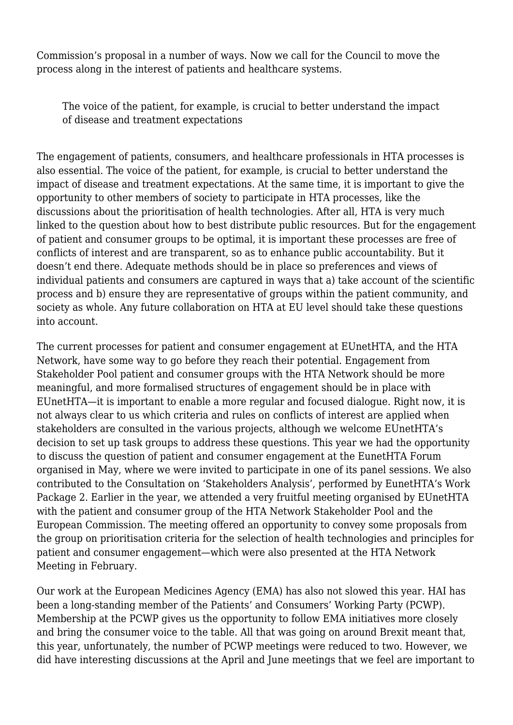Commission's proposal in a number of ways. Now we call for the Council to move the process along in the interest of patients and healthcare systems.

The voice of the patient, for example, is crucial to better understand the impact of disease and treatment expectations

The engagement of patients, consumers, and healthcare professionals in HTA processes is also essential. The voice of the patient, for example, is crucial to better understand the impact of disease and treatment expectations. At the same time, it is important to give the opportunity to other members of society to participate in HTA processes, like the discussions about the prioritisation of health technologies. After all, HTA is very much linked to the question about how to best distribute public resources. But for the engagement of patient and consumer groups to be optimal, it is important these processes are free of conflicts of interest and are transparent, so as to enhance public accountability. But it doesn't end there. Adequate methods should be in place so preferences and views of individual patients and consumers are captured in ways that a) take account of the scientific process and b) ensure they are representative of groups within the patient community, and society as whole. Any future collaboration on HTA at EU level should take these questions into account.

The current processes for patient and consumer engagement at EUnetHTA, and the HTA Network, have some way to go before they reach their potential. Engagement from Stakeholder Pool patient and consumer groups with the HTA Network should be more meaningful, and more formalised structures of engagement should be in place with EUnetHTA—it is important to enable a more regular and focused dialogue. Right now, it is not always clear to us which criteria and rules on conflicts of interest are applied when stakeholders are consulted in the various projects, although we welcome EUnetHTA's decision to set up task groups to address these questions. This year we had the opportunity to discuss the question of patient and consumer engagement at the EunetHTA Forum organised in May, where we were invited to participate in one of its panel sessions. We also contributed to the Consultation on 'Stakeholders Analysis', performed by EunetHTA's Work Package 2. Earlier in the year, we attended a very fruitful meeting organised by EUnetHTA with the patient and consumer group of the HTA Network Stakeholder Pool and the European Commission. The meeting offered an opportunity to convey some proposals from the group on prioritisation criteria for the selection of health technologies and principles for patient and consumer engagement—which were also presented at the HTA Network Meeting in February.

Our work at the European Medicines Agency (EMA) has also not slowed this year. HAI has been a long-standing member of the Patients' and Consumers' Working Party (PCWP). Membership at the PCWP gives us the opportunity to follow EMA initiatives more closely and bring the consumer voice to the table. All that was going on around Brexit meant that, this year, unfortunately, the number of PCWP meetings were reduced to two. However, we did have interesting discussions at the April and June meetings that we feel are important to